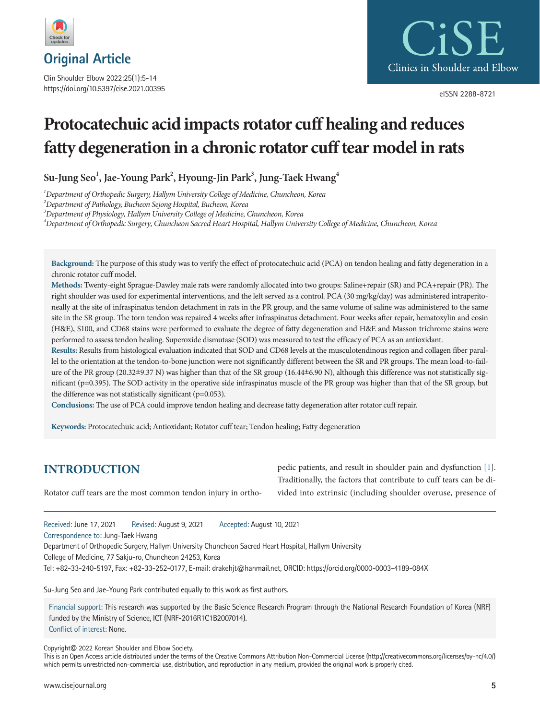

Clin Shoulder Elbow 2022;25(1):5-14 https://doi.org/10.5397/cise.2021.00395



eISSN 2288-8721

# **Protocatechuic acid impacts rotator cuff healing and reduces fatty degeneration in a chronic rotator cuff tear model in rats**

 $\text{Su-Jung } \text{Seo}^1, \text{Jac-Young } \text{Park}^2, \text{Hyoung-Jin } \text{Park}^3, \text{Jung-Taek Hwang<sup>4</sup>}$ 

*<sup>1</sup>Department of Orthopedic Surgery, Hallym University College of Medicine, Chuncheon, Korea* 

*<sup>2</sup>Department of Pathology, Bucheon Sejong Hospital, Bucheon, Korea* 

*<sup>3</sup>Department of Physiology, Hallym University College of Medicine, Chuncheon, Korea* 

*<sup>4</sup>Department of Orthopedic Surgery, Chuncheon Sacred Heart Hospital, Hallym University College of Medicine, Chuncheon, Korea* 

**Background:** The purpose of this study was to verify the effect of protocatechuic acid (PCA) on tendon healing and fatty degeneration in a chronic rotator cuff model.

**Methods:** Twenty-eight Sprague-Dawley male rats were randomly allocated into two groups: Saline+repair (SR) and PCA+repair (PR). The right shoulder was used for experimental interventions, and the left served as a control. PCA (30 mg/kg/day) was administered intraperitoneally at the site of infraspinatus tendon detachment in rats in the PR group, and the same volume of saline was administered to the same site in the SR group. The torn tendon was repaired 4 weeks after infraspinatus detachment. Four weeks after repair, hematoxylin and eosin (H&E), S100, and CD68 stains were performed to evaluate the degree of fatty degeneration and H&E and Masson trichrome stains were performed to assess tendon healing. Superoxide dismutase (SOD) was measured to test the efficacy of PCA as an antioxidant.

**Results:** Results from histological evaluation indicated that SOD and CD68 levels at the musculotendinous region and collagen fiber parallel to the orientation at the tendon-to-bone junction were not significantly different between the SR and PR groups. The mean load-to-failure of the PR group (20.32±9.37 N) was higher than that of the SR group (16.44±6.90 N), although this difference was not statistically significant (p=0.395). The SOD activity in the operative side infraspinatus muscle of the PR group was higher than that of the SR group, but the difference was not statistically significant (p=0.053).

**Conclusions:** The use of PCA could improve tendon healing and decrease fatty degeneration after rotator cuff repair.

**Keywords:** Protocatechuic acid; Antioxidant; Rotator cuff tear; Tendon healing; Fatty degeneration

# **INTRODUCTION**

Rotator cuff tears are the most common tendon injury in ortho-

pedic patients, and result in shoulder pain and dysfunction [\[1\]](#page-7-0). Traditionally, the factors that contribute to cuff tears can be divided into extrinsic (including shoulder overuse, presence of

Received: June 17, 2021 Revised: August 9, 2021 Accepted: August 10, 2021

Correspondence to: Jung-Taek Hwang

Department of Orthopedic Surgery, Hallym University Chuncheon Sacred Heart Hospital, Hallym University

College of Medicine, 77 Sakju-ro, Chuncheon 24253, Korea

Tel: +82-33-240-5197, Fax: +82-33-252-0177, E-mail: drakehjt@hanmail.net, ORCID: https://orcid.org/0000-0003-4189-084X

Su-Jung Seo and Jae-Young Park contributed equally to this work as first authors.

Financial support: This research was supported by the Basic Science Research Program through the National Research Foundation of Korea (NRF) funded by the Ministry of Science, ICT (NRF-2016R1C1B2007014). Conflict of interest: None.

Copyright© 2022 Korean Shoulder and Elbow Society.

This is an Open Access article distributed under the terms of the Creative Commons Attribution Non-Commercial License (http://creativecommons.org/licenses/by-nc/4.0/) which permits unrestricted non-commercial use, distribution, and reproduction in any medium, provided the original work is properly cited.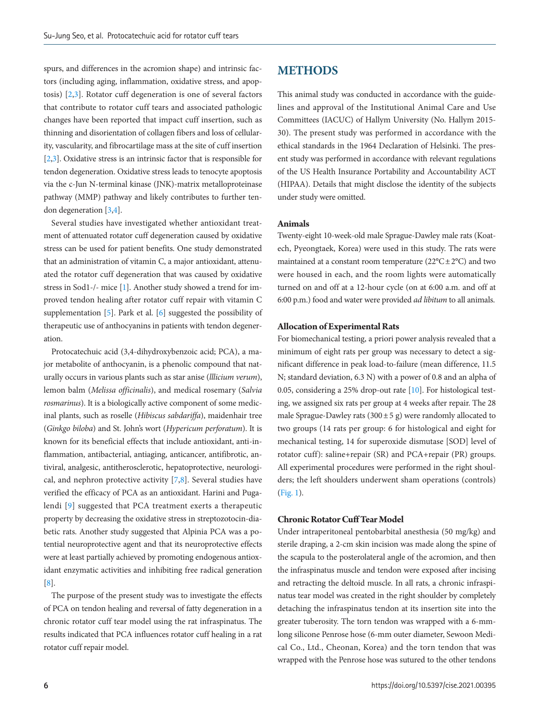spurs, and differences in the acromion shape) and intrinsic factors (including aging, inflammation, oxidative stress, and apoptosis) [\[2](#page-7-1)[,3](#page-8-0)]. Rotator cuff degeneration is one of several factors that contribute to rotator cuff tears and associated pathologic changes have been reported that impact cuff insertion, such as thinning and disorientation of collagen fibers and loss of cellularity, vascularity, and fibrocartilage mass at the site of cuff insertion [\[2](#page-7-1)[,3](#page-8-0)]. Oxidative stress is an intrinsic factor that is responsible for tendon degeneration. Oxidative stress leads to tenocyte apoptosis via the c-Jun N-terminal kinase (JNK)-matrix metalloproteinase pathway (MMP) pathway and likely contributes to further tendon degeneration [\[3](#page-8-0)[,4\]](#page-8-1).

Several studies have investigated whether antioxidant treatment of attenuated rotator cuff degeneration caused by oxidative stress can be used for patient benefits. One study demonstrated that an administration of vitamin C, a major antioxidant, attenuated the rotator cuff degeneration that was caused by oxidative stress in Sod1-/- mice [1]. Another study showed a trend for improved tendon healing after rotator cuff repair with vitamin C supplementation [\[5](#page-8-2)]. Park et al. [\[6\]](#page-8-3) suggested the possibility of therapeutic use of anthocyanins in patients with tendon degeneration.

Protocatechuic acid (3,4-dihydroxybenzoic acid; PCA), a major metabolite of anthocyanin, is a phenolic compound that naturally occurs in various plants such as star anise (*lllicium verum*), lemon balm (*Melissa officinalis*), and medical rosemary (*Salvia rosmarinus*). It is a biologically active component of some medicinal plants, such as roselle (*Hibiscus sabdariffa*), maidenhair tree (*Ginkgo biloba*) and St. John's wort (*Hypericum perforatum*). It is known for its beneficial effects that include antioxidant, anti-inflammation, antibacterial, antiaging, anticancer, antifibrotic, antiviral, analgesic, antitherosclerotic, hepatoprotective, neurological, and nephron protective activity [\[7,](#page-8-4)[8](#page-8-5)]. Several studies have verified the efficacy of PCA as an antioxidant. Harini and Pugalendi [\[9\]](#page-8-6) suggested that PCA treatment exerts a therapeutic property by decreasing the oxidative stress in streptozotocin-diabetic rats. Another study suggested that Alpinia PCA was a potential neuroprotective agent and that its neuroprotective effects were at least partially achieved by promoting endogenous antioxidant enzymatic activities and inhibiting free radical generation [\[8\]](#page-8-5).

The purpose of the present study was to investigate the effects of PCA on tendon healing and reversal of fatty degeneration in a chronic rotator cuff tear model using the rat infraspinatus. The results indicated that PCA influences rotator cuff healing in a rat rotator cuff repair model.

# **METHODS**

This animal study was conducted in accordance with the guidelines and approval of the Institutional Animal Care and Use Committees (IACUC) of Hallym University (No. Hallym 2015- 30). The present study was performed in accordance with the ethical standards in the 1964 Declaration of Helsinki. The present study was performed in accordance with relevant regulations of the US Health Insurance Portability and Accountability ACT (HIPAA). Details that might disclose the identity of the subjects under study were omitted.

# **Animals**

Twenty-eight 10-week-old male Sprague-Dawley male rats (Koatech, Pyeongtaek, Korea) were used in this study. The rats were maintained at a constant room temperature  $(22^{\circ}C \pm 2^{\circ}C)$  and two were housed in each, and the room lights were automatically turned on and off at a 12-hour cycle (on at 6:00 a.m. and off at 6:00 p.m.) food and water were provided *ad libitum* to all animals.

#### **Allocation of Experimental Rats**

For biomechanical testing, a priori power analysis revealed that a minimum of eight rats per group was necessary to detect a significant difference in peak load-to-failure (mean difference, 11.5 N; standard deviation, 6.3 N) with a power of 0.8 and an alpha of 0.05, considering a 25% drop-out rate [\[10](#page-8-7)]. For histological testing, we assigned six rats per group at 4 weeks after repair. The 28 male Sprague-Dawley rats  $(300 \pm 5$  g) were randomly allocated to two groups (14 rats per group: 6 for histological and eight for mechanical testing, 14 for superoxide dismutase [SOD] level of rotator cuff): saline+repair (SR) and PCA+repair (PR) groups. All experimental procedures were performed in the right shoulders; the left shoulders underwent sham operations (controls) [\(Fig. 1\)](#page-2-0).

#### **Chronic Rotator Cuff Tear Model**

Under intraperitoneal pentobarbital anesthesia (50 mg/kg) and sterile draping, a 2-cm skin incision was made along the spine of the scapula to the posterolateral angle of the acromion, and then the infraspinatus muscle and tendon were exposed after incising and retracting the deltoid muscle. In all rats, a chronic infraspinatus tear model was created in the right shoulder by completely detaching the infraspinatus tendon at its insertion site into the greater tuberosity. The torn tendon was wrapped with a 6-mmlong silicone Penrose hose (6-mm outer diameter, Sewoon Medical Co., Ltd., Cheonan, Korea) and the torn tendon that was wrapped with the Penrose hose was sutured to the other tendons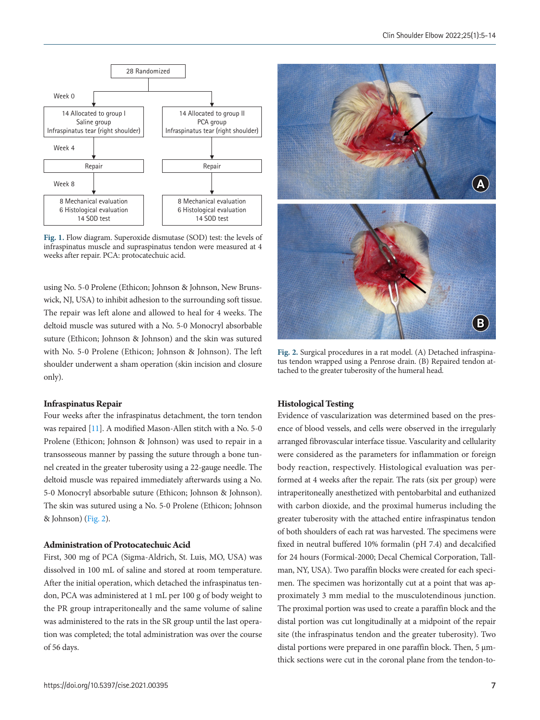<span id="page-2-0"></span>

**Fig. 1.** Flow diagram. Superoxide dismutase (SOD) test: the levels of infraspinatus muscle and supraspinatus tendon were measured at 4 weeks after repair. PCA: protocatechuic acid.

using No. 5-0 Prolene (Ethicon; Johnson & Johnson, New Brunswick, NJ, USA) to inhibit adhesion to the surrounding soft tissue. The repair was left alone and allowed to heal for 4 weeks. The deltoid muscle was sutured with a No. 5-0 Monocryl absorbable suture (Ethicon; Johnson & Johnson) and the skin was sutured with No. 5-0 Prolene (Ethicon; Johnson & Johnson). The left shoulder underwent a sham operation (skin incision and closure only).

## **Infraspinatus Repair**

Four weeks after the infraspinatus detachment, the torn tendon was repaired [[11\]](#page-8-8). A modified Mason-Allen stitch with a No. 5-0 Prolene (Ethicon; Johnson & Johnson) was used to repair in a transosseous manner by passing the suture through a bone tunnel created in the greater tuberosity using a 22-gauge needle. The deltoid muscle was repaired immediately afterwards using a No. 5-0 Monocryl absorbable suture (Ethicon; Johnson & Johnson). The skin was sutured using a No. 5-0 Prolene (Ethicon; Johnson & Johnson) [\(Fig. 2](#page-2-1)).

## **Administration of Protocatechuic Acid**

First, 300 mg of PCA (Sigma-Aldrich, St. Luis, MO, USA) was dissolved in 100 mL of saline and stored at room temperature. After the initial operation, which detached the infraspinatus tendon, PCA was administered at 1 mL per 100 g of body weight to the PR group intraperitoneally and the same volume of saline was administered to the rats in the SR group until the last operation was completed; the total administration was over the course of 56 days.

<span id="page-2-1"></span>

**Fig. 2.** Surgical procedures in a rat model. (A) Detached infraspinatus tendon wrapped using a Penrose drain. (B) Repaired tendon attached to the greater tuberosity of the humeral head.

# **Histological Testing**

Evidence of vascularization was determined based on the presence of blood vessels, and cells were observed in the irregularly arranged fibrovascular interface tissue. Vascularity and cellularity were considered as the parameters for inflammation or foreign body reaction, respectively. Histological evaluation was performed at 4 weeks after the repair. The rats (six per group) were intraperitoneally anesthetized with pentobarbital and euthanized with carbon dioxide, and the proximal humerus including the greater tuberosity with the attached entire infraspinatus tendon of both shoulders of each rat was harvested. The specimens were fixed in neutral buffered 10% formalin (pH 7.4) and decalcified for 24 hours (Formical-2000; Decal Chemical Corporation, Tallman, NY, USA). Two paraffin blocks were created for each specimen. The specimen was horizontally cut at a point that was approximately 3 mm medial to the musculotendinous junction. The proximal portion was used to create a paraffin block and the distal portion was cut longitudinally at a midpoint of the repair site (the infraspinatus tendon and the greater tuberosity). Two distal portions were prepared in one paraffin block. Then,  $5 \mu m$ thick sections were cut in the coronal plane from the tendon-to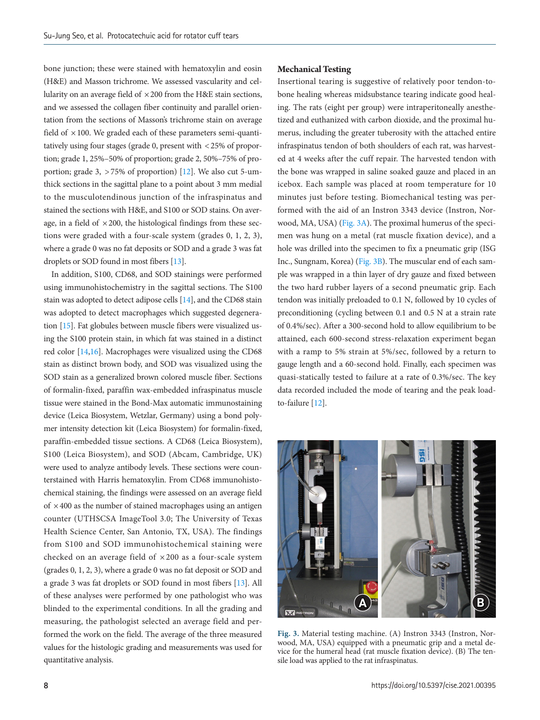bone junction; these were stained with hematoxylin and eosin (H&E) and Masson trichrome. We assessed vascularity and cellularity on an average field of  $\times$  200 from the H&E stain sections, and we assessed the collagen fiber continuity and parallel orientation from the sections of Masson's trichrome stain on average field of  $\times$  100. We graded each of these parameters semi-quantitatively using four stages (grade 0, present with < 25% of proportion; grade 1, 25%–50% of proportion; grade 2, 50%–75% of proportion; grade 3,  $> 75\%$  of proportion) [\[12](#page-8-9)]. We also cut 5-umthick sections in the sagittal plane to a point about 3 mm medial to the musculotendinous junction of the infraspinatus and stained the sections with H&E, and S100 or SOD stains. On average, in a field of  $\times$  200, the histological findings from these sections were graded with a four-scale system (grades 0, 1, 2, 3), where a grade 0 was no fat deposits or SOD and a grade 3 was fat droplets or SOD found in most fibers [\[13](#page-8-10)].

In addition, S100, CD68, and SOD stainings were performed using immunohistochemistry in the sagittal sections. The S100 stain was adopted to detect adipose cells [\[14](#page-8-7)], and the CD68 stain was adopted to detect macrophages which suggested degeneration [\[15\]](#page-8-11). Fat globules between muscle fibers were visualized using the S100 protein stain, in which fat was stained in a distinct red color [\[14](#page-8-7)[,16](#page-8-12)]. Macrophages were visualized using the CD68 stain as distinct brown body, and SOD was visualized using the SOD stain as a generalized brown colored muscle fiber. Sections of formalin-fixed, paraffin wax-embedded infraspinatus muscle tissue were stained in the Bond-Max automatic immunostaining device (Leica Biosystem, Wetzlar, Germany) using a bond polymer intensity detection kit (Leica Biosystem) for formalin-fixed, paraffin-embedded tissue sections. A CD68 (Leica Biosystem), S100 (Leica Biosystem), and SOD (Abcam, Cambridge, UK) were used to analyze antibody levels. These sections were counterstained with Harris hematoxylin. From CD68 immunohistochemical staining, the findings were assessed on an average field of  $\times$  400 as the number of stained macrophages using an antigen counter (UTHSCSA ImageTool 3.0; The University of Texas Health Science Center, San Antonio, TX, USA). The findings from S100 and SOD immunohistochemical staining were checked on an average field of  $\times 200$  as a four-scale system (grades 0, 1, 2, 3), where a grade 0 was no fat deposit or SOD and a grade 3 was fat droplets or SOD found in most fibers [\[13\]](#page-8-10). All of these analyses were performed by one pathologist who was blinded to the experimental conditions. In all the grading and measuring, the pathologist selected an average field and performed the work on the field. The average of the three measured values for the histologic grading and measurements was used for quantitative analysis.

#### **Mechanical Testing**

Insertional tearing is suggestive of relatively poor tendon-tobone healing whereas midsubstance tearing indicate good healing. The rats (eight per group) were intraperitoneally anesthetized and euthanized with carbon dioxide, and the proximal humerus, including the greater tuberosity with the attached entire infraspinatus tendon of both shoulders of each rat, was harvested at 4 weeks after the cuff repair. The harvested tendon with the bone was wrapped in saline soaked gauze and placed in an icebox. Each sample was placed at room temperature for 10 minutes just before testing. Biomechanical testing was performed with the aid of an Instron 3343 device (Instron, Norwood, MA, USA) [\(Fig. 3A\)](#page-3-0). The proximal humerus of the specimen was hung on a metal (rat muscle fixation device), and a hole was drilled into the specimen to fix a pneumatic grip (ISG Inc., Sungnam, Korea) [\(Fig. 3B\)](#page-3-0). The muscular end of each sample was wrapped in a thin layer of dry gauze and fixed between the two hard rubber layers of a second pneumatic grip. Each tendon was initially preloaded to 0.1 N, followed by 10 cycles of preconditioning (cycling between 0.1 and 0.5 N at a strain rate of 0.4%/sec). After a 300-second hold to allow equilibrium to be attained, each 600-second stress-relaxation experiment began with a ramp to 5% strain at 5%/sec, followed by a return to gauge length and a 60-second hold. Finally, each specimen was quasi-statically tested to failure at a rate of 0.3%/sec. The key data recorded included the mode of tearing and the peak loadto-failure [\[12](#page-8-9)].

<span id="page-3-0"></span>

**Fig. 3.** Material testing machine. (A) Instron 3343 (Instron, Norwood, MA, USA) equipped with a pneumatic grip and a metal device for the humeral head (rat muscle fixation device). (B) The tensile load was applied to the rat infraspinatus.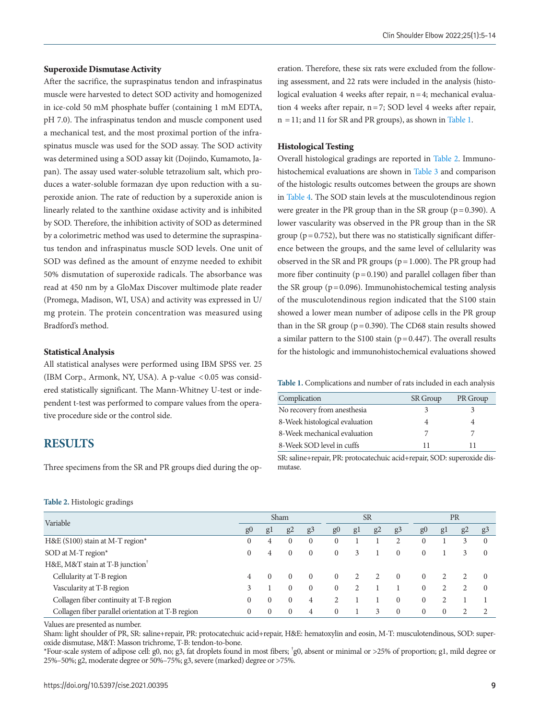#### **Superoxide Dismutase Activity**

After the sacrifice, the supraspinatus tendon and infraspinatus muscle were harvested to detect SOD activity and homogenized in ice-cold 50 mM phosphate buffer (containing 1 mM EDTA, pH 7.0). The infraspinatus tendon and muscle component used a mechanical test, and the most proximal portion of the infraspinatus muscle was used for the SOD assay. The SOD activity was determined using a SOD assay kit (Dojindo, Kumamoto, Japan). The assay used water-soluble tetrazolium salt, which produces a water-soluble formazan dye upon reduction with a superoxide anion. The rate of reduction by a superoxide anion is linearly related to the xanthine oxidase activity and is inhibited by SOD. Therefore, the inhibition activity of SOD as determined by a colorimetric method was used to determine the supraspinatus tendon and infraspinatus muscle SOD levels. One unit of SOD was defined as the amount of enzyme needed to exhibit 50% dismutation of superoxide radicals. The absorbance was read at 450 nm by a GloMax Discover multimode plate reader (Promega, Madison, WI, USA) and activity was expressed in U/ mg protein. The protein concentration was measured using Bradford's method.

## **Statistical Analysis**

All statistical analyses were performed using IBM SPSS ver. 25 (IBM Corp., Armonk, NY, USA). A p-value < 0.05 was considered statistically significant. The Mann-Whitney U-test or independent t-test was performed to compare values from the operative procedure side or the control side.

# **RESULTS**

Three specimens from the SR and PR groups died during the op-

## <span id="page-4-1"></span>**Table 2.** Histologic gradings

|  |  |  | Clin Shoulder Elbow 2022;25(1):5-14 |  |
|--|--|--|-------------------------------------|--|
|--|--|--|-------------------------------------|--|

eration. Therefore, these six rats were excluded from the following assessment, and 22 rats were included in the analysis (histological evaluation 4 weeks after repair, n = 4; mechanical evaluation 4 weeks after repair, n = 7; SOD level 4 weeks after repair, n = 11; and 11 for SR and PR groups), as shown in [Table 1](#page-4-0).

#### **Histological Testing**

Overall histological gradings are reported in [Table 2](#page-4-1). Immunohistochemical evaluations are shown in [Table 3](#page-5-0) and comparison of the histologic results outcomes between the groups are shown in [Table 4.](#page-5-1) The SOD stain levels at the musculotendinous region were greater in the PR group than in the SR group ( $p = 0.390$ ). A lower vascularity was observed in the PR group than in the SR group ( $p = 0.752$ ), but there was no statistically significant difference between the groups, and the same level of cellularity was observed in the SR and PR groups ( $p = 1.000$ ). The PR group had more fiber continuity ( $p = 0.190$ ) and parallel collagen fiber than the SR group ( $p = 0.096$ ). Immunohistochemical testing analysis of the musculotendinous region indicated that the S100 stain showed a lower mean number of adipose cells in the PR group than in the SR group ( $p = 0.390$ ). The CD68 stain results showed a similar pattern to the S100 stain ( $p = 0.447$ ). The overall results for the histologic and immunohistochemical evaluations showed

<span id="page-4-0"></span>**Table 1.** Complications and number of rats included in each analysis

| Complication                   | <b>SR</b> Group | PR Group |
|--------------------------------|-----------------|----------|
| No recovery from anesthesia    |                 |          |
| 8-Week histological evaluation |                 |          |
| 8-Week mechanical evaluation   |                 |          |
| 8-Week SOD level in cuffs      |                 |          |

SR: saline+repair, PR: protocatechuic acid+repair, SOD: superoxide dismutase.

| ັ<br>$\overline{\phantom{0}}$<br>$\overline{\phantom{0}}$ |          |    |    |                |                |    |           |                |          |          |    |          |
|-----------------------------------------------------------|----------|----|----|----------------|----------------|----|-----------|----------------|----------|----------|----|----------|
| Variable                                                  | Sham     |    |    | <b>SR</b>      |                |    | <b>PR</b> |                |          |          |    |          |
|                                                           | $g_{0}$  | gl | g2 | g <sub>3</sub> | g <sub>0</sub> | gl | g2        | g <sub>3</sub> | g()      | gl       | g2 | g3       |
| H&E (S100) stain at M-T region*                           | 0        | 4  |    | $\Omega$       | $\Omega$       |    |           |                |          |          | 3  | $\Omega$ |
| SOD at M-T region*                                        | $\Omega$ | 4  |    | $\Omega$       | $\Omega$       | 3  |           |                | $\Omega$ |          | 3  | $\Omega$ |
| H&E, M&T stain at T-B junction <sup>†</sup>               |          |    |    |                |                |    |           |                |          |          |    |          |
| Cellularity at T-B region                                 | 4        |    |    | $\left($       | $\Omega$       |    |           | $\Omega$       |          |          |    | $\Omega$ |
| Vascularity at T-B region                                 |          |    |    | $\Omega$       | $\Omega$       |    |           |                |          |          |    | $\Omega$ |
| Collagen fiber continuity at T-B region                   |          | 0  |    | 4              |                |    |           |                |          |          |    |          |
| Collagen fiber parallel orientation at T-B region         |          |    |    | 4              | $\Omega$       |    |           | $\Omega$       | $\Omega$ | $\Omega$ |    |          |

Values are presented as number.

Sham: light shoulder of PR, SR: saline+repair, PR: protocatechuic acid+repair, H&E: hematoxylin and eosin, M-T: musculotendinous, SOD: superoxide dismutase, M&T: Masson trichrome, T-B: tendon-to-bone.

\*Four-scale system of adipose cell: g0, no; g3, fat droplets found in most fibers; † g0, absent or minimal or >25% of proportion; g1, mild degree or 25%–50%; g2, moderate degree or 50%–75%; g3, severe (marked) degree or >75%.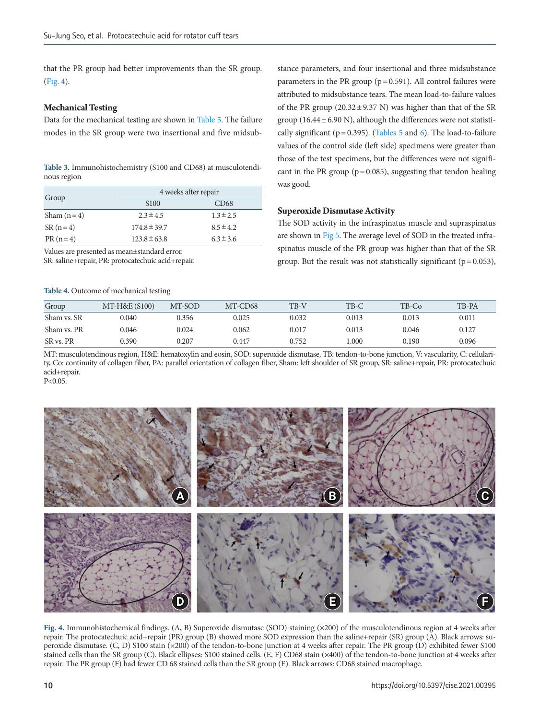that the PR group had better improvements than the SR group. [\(Fig. 4\)](#page-5-2).

## **Mechanical Testing**

Data for the mechanical testing are shown in [Table 5](#page-6-0). The failure modes in the SR group were two insertional and five midsub-

<span id="page-5-0"></span>

| Table 3. Immunohistochemistry (S100 and CD68) at musculotendi- |  |
|----------------------------------------------------------------|--|
| nous region                                                    |  |

|              | 4 weeks after repair |                  |
|--------------|----------------------|------------------|
| Group        | S <sub>100</sub>     | CD <sub>68</sub> |
| Sham $(n=4)$ | $2.3 \pm 4.5$        | $1.3 \pm 2.5$    |
| $SR(n=4)$    | $174.8 \pm 39.7$     | $8.5 \pm 4.2$    |
| $PR(n=4)$    | $123.8 \pm 63.8$     | $6.3 \pm 3.6$    |

Values are presented as mean±standard error.

SR: saline+repair, PR: protocatechuic acid+repair.

<span id="page-5-1"></span>**Table 4.** Outcome of mechanical testing

stance parameters, and four insertional and three midsubstance parameters in the PR group ( $p = 0.591$ ). All control failures were attributed to midsubstance tears. The mean load-to-failure values of the PR group  $(20.32 \pm 9.37 \text{ N})$  was higher than that of the SR group (16.44 $\pm$  6.90 N), although the differences were not statistically significant ( $p = 0.395$ ). [\(Ta](#page-6-0)bles 5 and [6](#page-6-1)). The load-to-failure values of the control side (left side) specimens were greater than those of the test specimens, but the differences were not significant in the PR group ( $p = 0.085$ ), suggesting that tendon healing was good.

## **Superoxide Dismutase Activity**

The SOD activity in the infraspinatus muscle and supraspinatus are shown in [Fig 5](#page-6-2). The average level of SOD in the treated infraspinatus muscle of the PR group was higher than that of the SR group. But the result was not statistically significant ( $p = 0.053$ ),

| Group       | MT-H&E (\$100) | MT-SOD | MT-CD68 | TB-V  | TB-C  | TB-Co | TB-PA |
|-------------|----------------|--------|---------|-------|-------|-------|-------|
| Sham vs. SR | 0.040          | 0.356  | 0.025   | 0.032 | 0.013 | 0.013 | 0.011 |
| Sham vs. PR | 0.046          | 0.024  | 0.062   | 0.017 | 0.013 | 0.046 | 0.127 |
| SR vs. PR   | 0.390          | 0.207  | 0.447   | 0.752 | .000  | 0.190 | 0.096 |

MT: musculotendinous region, H&E: hematoxylin and eosin, SOD: superoxide dismutase, TB: tendon-to-bone junction, V: vascularity, C: cellularity, Co: continuity of collagen fiber, PA: parallel orientation of collagen fiber, Sham: left shoulder of SR group, SR: saline+repair, PR: protocatechuic acid+repair. P<0.05.

<span id="page-5-2"></span>

**Fig. 4.** Immunohistochemical findings. (A, B) Superoxide dismutase (SOD) staining (×200) of the musculotendinous region at 4 weeks after repair. The protocatechuic acid+repair (PR) group (B) showed more SOD expression than the saline+repair (SR) group (A). Black arrows: superoxide dismutase. (C, D) S100 stain (×200) of the tendon-to-bone junction at 4 weeks after repair. The PR group (D) exhibited fewer S100 stained cells than the SR group (C). Black ellipses: S100 stained cells. (E, F) CD68 stain (×400) of the tendon-to-bone junction at 4 weeks after repair. The PR group (F) had fewer CD 68 stained cells than the SR group (E). Black arrows: CD68 stained macrophage.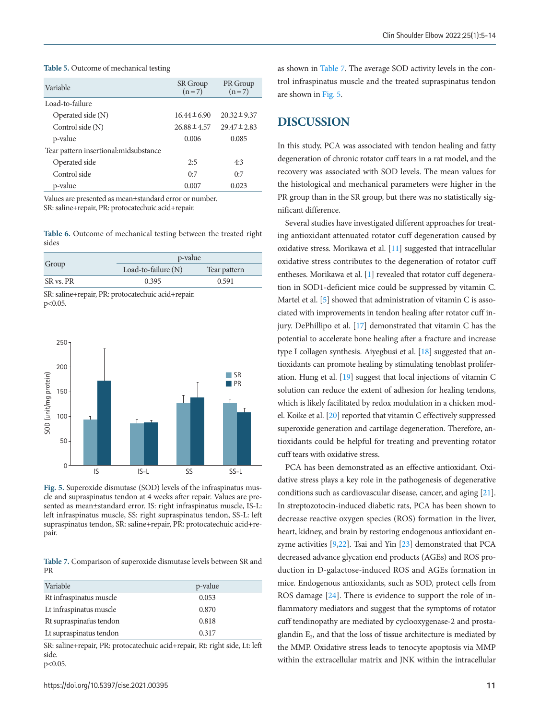<span id="page-6-0"></span>

| Table 5. Outcome of mechanical testing |  |
|----------------------------------------|--|
|----------------------------------------|--|

| Variable                               | <b>SR</b> Group<br>$(n=7)$ | PR Group<br>$(n=7)$ |
|----------------------------------------|----------------------------|---------------------|
| Load-to-failure                        |                            |                     |
| Operated side (N)                      | $16.44 \pm 6.90$           | $20.32 \pm 9.37$    |
| Control side (N)                       | $26.88 \pm 4.57$           | $29.47 \pm 2.83$    |
| p-value                                | 0.006                      | 0.085               |
| Tear pattern insertional: midsubstance |                            |                     |
| Operated side                          | 2:5                        | 4:3                 |
| Control side                           | 0:7                        | 0:7                 |
| p-value                                | 0.007                      | 0.023               |

Values are presented as mean±standard error or number. SR: saline+repair, PR: protocatechuic acid+repair.

<span id="page-6-1"></span>**Table 6.** Outcome of mechanical testing between the treated right sides

|           | p-value               |              |  |  |  |
|-----------|-----------------------|--------------|--|--|--|
| Group     | Load-to-failure $(N)$ | Tear pattern |  |  |  |
| SR vs. PR | 0.395                 | 0.591        |  |  |  |

SR: saline+repair, PR: protocatechuic acid+repair. p<0.05.

<span id="page-6-2"></span>

**Fig. 5.** Superoxide dismutase (SOD) levels of the infraspinatus muscle and supraspinatus tendon at 4 weeks after repair. Values are presented as mean±standard error. IS: right infraspinatus muscle, IS-L: left infraspinatus muscle, SS: right supraspinatus tendon, SS-L: left supraspinatus tendon, SR: saline+repair, PR: protocatechuic acid+repair.

<span id="page-6-3"></span>**Table 7.** Comparison of superoxide dismutase levels between SR and PR

| Variable                | p-value |
|-------------------------|---------|
| Rt infraspinatus muscle | 0.053   |
| Lt infraspinatus muscle | 0.870   |
| Rt supraspinafus tendon | 0.818   |
| Lt supraspinatus tendon | 0.317   |

SR: saline+repair, PR: protocatechuic acid+repair, Rt: right side, Lt: left side. p<0.05.

as shown in [Table 7](#page-6-3). The average SOD activity levels in the control infraspinatus muscle and the treated supraspinatus tendon are shown in [Fig. 5.](#page-6-2)

# **DISCUSSION**

In this study, PCA was associated with tendon healing and fatty degeneration of chronic rotator cuff tears in a rat model, and the recovery was associated with SOD levels. The mean values for the histological and mechanical parameters were higher in the PR group than in the SR group, but there was no statistically significant difference.

Several studies have investigated different approaches for treating antioxidant attenuated rotator cuff degeneration caused by oxidative stress. Morikawa et al. [[11\]](#page-8-8) suggested that intracellular oxidative stress contributes to the degeneration of rotator cuff entheses. Morikawa et al. [1] revealed that rotator cuff degeneration in SOD1-deficient mice could be suppressed by vitamin C. Martel et al. [5] showed that administration of vitamin C is associated with improvements in tendon healing after rotator cuff injury. DePhillipo et al. [[17\]](#page-8-13) demonstrated that vitamin C has the potential to accelerate bone healing after a fracture and increase type I collagen synthesis. Aiyegbusi et al. [\[18](#page-8-14)] suggested that antioxidants can promote healing by stimulating tenoblast proliferation. Hung et al. [[19\]](#page-8-15) suggest that local injections of vitamin C solution can reduce the extent of adhesion for healing tendons, which is likely facilitated by redox modulation in a chicken model. Koike et al. [[20\]](#page-8-16) reported that vitamin C effectively suppressed superoxide generation and cartilage degeneration. Therefore, antioxidants could be helpful for treating and preventing rotator cuff tears with oxidative stress.

PCA has been demonstrated as an effective antioxidant. Oxidative stress plays a key role in the pathogenesis of degenerative conditions such as cardiovascular disease, cancer, and aging [[21\]](#page-8-17). In streptozotocin-induced diabetic rats, PCA has been shown to decrease reactive oxygen species (ROS) formation in the liver, heart, kidney, and brain by restoring endogenous antioxidant enzyme activities [9[,22](#page-8-18)]. Tsai and Yin [\[23](#page-8-19)] demonstrated that PCA decreased advance glycation end products (AGEs) and ROS production in D-galactose-induced ROS and AGEs formation in mice. Endogenous antioxidants, such as SOD, protect cells from ROS damage [\[24](#page-8-20)]. There is evidence to support the role of inflammatory mediators and suggest that the symptoms of rotator cuff tendinopathy are mediated by cyclooxygenase-2 and prostaglandin  $E_2$ , and that the loss of tissue architecture is mediated by the MMP. Oxidative stress leads to tenocyte apoptosis via MMP within the extracellular matrix and JNK within the intracellular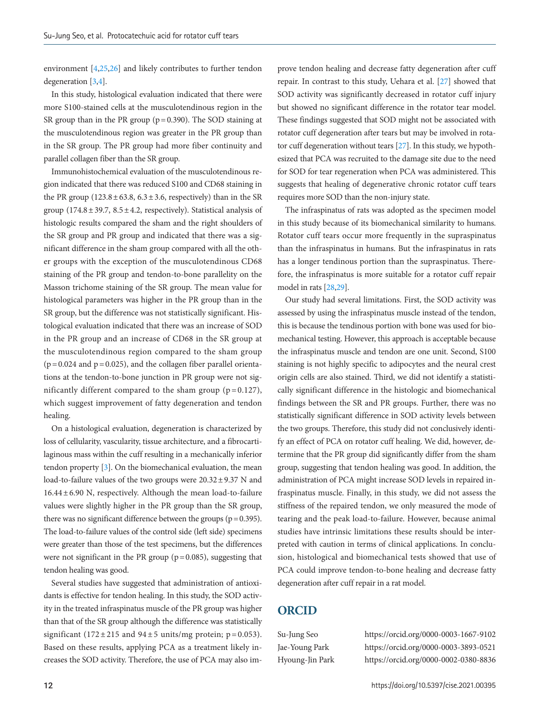environment [4,[25](#page-8-21)[,26](#page-8-22)] and likely contributes to further tendon degeneration [3,4].

In this study, histological evaluation indicated that there were more S100-stained cells at the musculotendinous region in the SR group than in the PR group ( $p = 0.390$ ). The SOD staining at the musculotendinous region was greater in the PR group than in the SR group. The PR group had more fiber continuity and parallel collagen fiber than the SR group.

Immunohistochemical evaluation of the musculotendinous region indicated that there was reduced S100 and CD68 staining in the PR group  $(123.8 \pm 63.8, 6.3 \pm 3.6,$  respectively) than in the SR group (174.8  $\pm$  39.7, 8.5  $\pm$  4.2, respectively). Statistical analysis of histologic results compared the sham and the right shoulders of the SR group and PR group and indicated that there was a significant difference in the sham group compared with all the other groups with the exception of the musculotendinous CD68 staining of the PR group and tendon-to-bone parallelity on the Masson trichome staining of the SR group. The mean value for histological parameters was higher in the PR group than in the SR group, but the difference was not statistically significant. Histological evaluation indicated that there was an increase of SOD in the PR group and an increase of CD68 in the SR group at the musculotendinous region compared to the sham group  $(p=0.024$  and  $p=0.025$ ), and the collagen fiber parallel orientations at the tendon-to-bone junction in PR group were not significantly different compared to the sham group  $(p=0.127)$ , which suggest improvement of fatty degeneration and tendon healing.

On a histological evaluation, degeneration is characterized by loss of cellularity, vascularity, tissue architecture, and a fibrocartilaginous mass within the cuff resulting in a mechanically inferior tendon property [3]. On the biomechanical evaluation, the mean load-to-failure values of the two groups were  $20.32 \pm 9.37$  N and  $16.44 \pm 6.90$  N, respectively. Although the mean load-to-failure values were slightly higher in the PR group than the SR group, there was no significant difference between the groups ( $p=0.395$ ). The load-to-failure values of the control side (left side) specimens were greater than those of the test specimens, but the differences were not significant in the PR group ( $p = 0.085$ ), suggesting that tendon healing was good.

Several studies have suggested that administration of antioxidants is effective for tendon healing. In this study, the SOD activity in the treated infraspinatus muscle of the PR group was higher than that of the SR group although the difference was statistically significant (172 $\pm$ 215 and 94 $\pm$ 5 units/mg protein; p=0.053). Based on these results, applying PCA as a treatment likely increases the SOD activity. Therefore, the use of PCA may also im-

prove tendon healing and decrease fatty degeneration after cuff repair. In contrast to this study, Uehara et al. [\[](#page-8-19)[27](#page-8-23)] showed that SOD activity was significantly decreased in rotator cuff injury but showed no significant difference in the rotator tear model. These findings suggested that SOD might not be associated with rotator cuff degeneration after tears but may be involved in rotator cuff degeneration without tears [\[](#page-8-19)[27](#page-8-23)]. In this study, we hypothesized that PCA was recruited to the damage site due to the need for SOD for tear regeneration when PCA was administered. This suggests that healing of degenerative chronic rotator cuff tears requires more SOD than the non-injury state.

The infraspinatus of rats was adopted as the specimen model in this study because of its biomechanical similarity to humans. Rotator cuff tears occur more frequently in the supraspinatus than the infraspinatus in humans. But the infraspinatus in rats has a longer tendinous portion than the supraspinatus. Therefore, the infraspinatus is more suitable for a rotator cuff repair model in rats [\[28](#page-9-0)[,29](#page-9-1)].

Our study had several limitations. First, the SOD activity was assessed by using the infraspinatus muscle instead of the tendon, this is because the tendinous portion with bone was used for biomechanical testing. However, this approach is acceptable because the infraspinatus muscle and tendon are one unit. Second, S100 staining is not highly specific to adipocytes and the neural crest origin cells are also stained. Third, we did not identify a statistically significant difference in the histologic and biomechanical findings between the SR and PR groups. Further, there was no statistically significant difference in SOD activity levels between the two groups. Therefore, this study did not conclusively identify an effect of PCA on rotator cuff healing. We did, however, determine that the PR group did significantly differ from the sham group, suggesting that tendon healing was good. In addition, the administration of PCA might increase SOD levels in repaired infraspinatus muscle. Finally, in this study, we did not assess the stiffness of the repaired tendon, we only measured the mode of tearing and the peak load-to-failure. However, because animal studies have intrinsic limitations these results should be interpreted with caution in terms of clinical applications. In conclusion, histological and biomechanical tests showed that use of PCA could improve tendon-to-bone healing and decrease fatty degeneration after cuff repair in a rat model.

# **ORCID**

<span id="page-7-1"></span><span id="page-7-0"></span>

Su-Jung Seo https://orcid.org/0000-0003-1667-9102 Jae-Young Park https://orcid.org/0000-0003-3893-0521 Hyoung-Jin Park https://orcid.org/0000-0002-0380-8836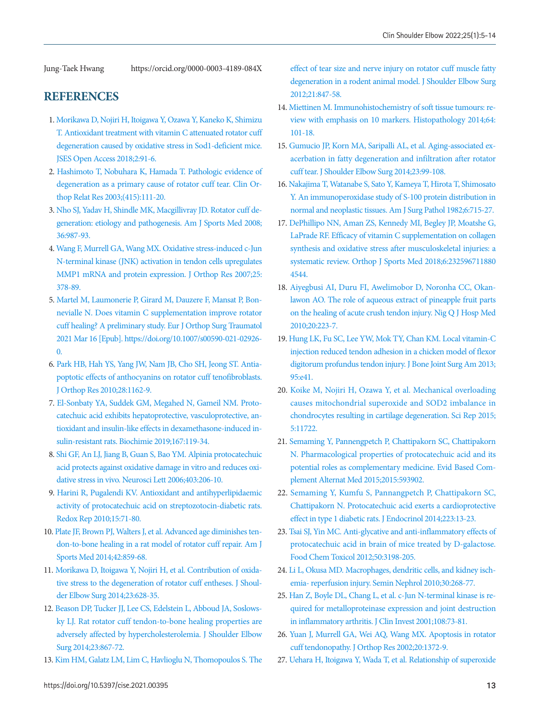<span id="page-8-0"></span>Jung-Taek Hwang https://orcid.org/0000-0003-4189-084X

# <span id="page-8-1"></span>**REFERENCES**

- <span id="page-8-2"></span>1. Morikawa D, Nojiri H, Itoigawa [Y, Ozawa Y, Kaneko K, Shimizu](https://doi.org/10.1016/j.jses.2017.11.003)  [T. Antioxidant treatment with vitamin C attenuated rotator cuff](https://doi.org/10.1016/j.jses.2017.11.003)  [degeneration caused by oxidative stress in Sod1-deficient mice.](https://doi.org/10.1016/j.jses.2017.11.003)  [JSES Open Access 2018;2:91-6.](https://doi.org/10.1016/j.jses.2017.11.003)
- 2. [Hashimoto T, Nobuhara K, Hamada T. Pathologic evidence of](https://doi.org/10.1097/01.blo.0000092974.12414.22)  [degeneration as a primary cause of rotator cuff tear. Clin Or](https://doi.org/10.1097/01.blo.0000092974.12414.22)[thop Relat Res 2003;\(415\):111-20.](https://doi.org/10.1097/01.blo.0000092974.12414.22)
- 3. [Nho SJ, Yadav H, Shindle MK, Macgillivray JD. Rotator cuff de](https://www.ncbi.nlm.nih.gov/pubmed/18413681)[generation: etiology and pathogenesis. Am J Sports Med 2008;](https://www.ncbi.nlm.nih.gov/pubmed/18413681) [36:987-93.](https://www.ncbi.nlm.nih.gov/pubmed/18413681)
- 4. [Wang F, Murrell GA, Wang MX. Oxidative stress-induced c-Jun](https://doi.org/10.1002/jor.20294)  [N-terminal kinase \(JNK\) activation in tendon cells upregulates](https://doi.org/10.1002/jor.20294)  [MMP1 mRNA and protein expression. J Orthop Res 2007;25:](https://doi.org/10.1002/jor.20294) [378-89.](https://doi.org/10.1002/jor.20294)
- <span id="page-8-5"></span>5. Martel M, Laumonerie [P, Girard M, Dauzere F, Mansat P, Bon](https://doi.org/10.1007/s00590-021-02926-0)[nevialle N. Does vitamin C supplementation improve rotator](https://doi.org/10.1007/s00590-021-02926-0)  [cuff healing? A preliminary study. Eur J Orthop Surg Traumatol](https://doi.org/10.1007/s00590-021-02926-0)  [2021 Mar 16 \[Epub\]. https://doi.org/10.1007/s](https://doi.org/10.1007/s00590-021-02926-0)00590-021-02926- 0.
- <span id="page-8-6"></span><span id="page-8-3"></span>[6. Park HB, Hah YS, Yang JW, Nam JB, Cho SH, Jeong ST. Antia](https://doi.org/10.1002/jor.21097)[poptotic effects of anthocyanins on rotator cuff tenofibroblasts.](https://doi.org/10.1002/jor.21097)  [J Orthop Res 2010;28:1162-9](https://doi.org/10.1002/jor.21097).
- <span id="page-8-4"></span>[7. El-Sonbaty YA, Suddek GM, Megahed N, Gameil NM. Proto](https://doi.org/10.1016/j.biochi.2019.09.011)[catechuic acid exhibits hepatoprotective, vasculoprotective, an](https://doi.org/10.1016/j.biochi.2019.09.011)[tioxidant and insulin-like effects in dexamethasone-induced in](https://doi.org/10.1016/j.biochi.2019.09.011)[sulin-resistant rats. Biochimie 2019;167:119-34.](https://doi.org/10.1016/j.biochi.2019.09.011)
- <span id="page-8-9"></span>8. Shi [GF, An LJ, Jiang B, Guan S, Bao YM. Alpinia protocatechuic](https://doi.org/10.1016/j.neulet.2006.02.057)  [acid protects against oxidative damage in vitro and reduces oxi](https://doi.org/10.1016/j.neulet.2006.02.057)[dative stress in vivo. Neurosci Lett 2006;403:206-10.](https://doi.org/10.1016/j.neulet.2006.02.057)
- <span id="page-8-10"></span>9. Harini R, Pugalendi K[V. Antioxidant and antihyperlipidaemic](https://doi.org/10.1179/174329210x12650506623285)  [activity of protocatechuic acid on streptozotocin-diabetic rats.](https://doi.org/10.1179/174329210x12650506623285)  [Redox Rep 2010;15:71-80.](https://doi.org/10.1179/174329210x12650506623285)
- <span id="page-8-7"></span>10. Plate [JF, Brown PJ, Walters J, et al. Advanced age diminishes ten](https://doi.org/10.1177/0363546513518418)[don-to-bone healing in a rat model of rotator cuff repair. Am J](https://doi.org/10.1177/0363546513518418)  [Sports Med 2014;42:859-68](https://doi.org/10.1177/0363546513518418).
- <span id="page-8-8"></span>1[1. Morikawa D, Itoigawa Y, Nojiri H, et al. Contribution of oxida](https://doi.org/10.1016/j.jse.2014.01.041)[tive stress to the degeneration of rotator cuff entheses. J Shoul](https://doi.org/10.1016/j.jse.2014.01.041)[der Elbow Surg 2014;23:628-35.](https://doi.org/10.1016/j.jse.2014.01.041)
- 12. [Beason DP, Tucker JJ, Lee CS, Edelstein L, Abboud JA, Soslows](https://doi.org/10.1016/j.jse.2013.08.018)[ky LJ. Rat rotator cuff tendon-to-bone healing properties are](https://doi.org/10.1016/j.jse.2013.08.018)  [adversely affected by hypercholesterolemia. J Shoulder Elbow](https://doi.org/10.1016/j.jse.2013.08.018)  [Surg 2014;23:867-72.](https://doi.org/10.1016/j.jse.2013.08.018)
- 13. [Kim HM, Galatz LM, Lim C, Havlioglu N, Thomopoulos S. The](https://doi.org/10.1016/j.jse.2011.05.004)

[effect of tear size and nerve injury on rotator cuff muscle fatty](https://doi.org/10.1016/j.jse.2011.05.004)  [degeneration in a rodent animal model. J Shoulder Elbow Surg](https://doi.org/10.1016/j.jse.2011.05.004)  [2012;21:847-58.](https://doi.org/10.1016/j.jse.2011.05.004)

- 14. [Miettinen M. Immunohistochemistry of soft tissue tumours: re](https://doi.org/10.1111/his.12298)[view with emphasis on 10 markers. Histopathology 2014;64:](https://doi.org/10.1111/his.12298) [101-18.](https://doi.org/10.1111/his.12298)
- <span id="page-8-11"></span>1[5. Gumucio JP, Korn MA, Saripalli AL, et al. Aging-associated ex](https://doi.org/10.1016/j.jse.2013.04.011)[acerbation in fatty degeneration and infiltration after rotator](https://doi.org/10.1016/j.jse.2013.04.011)  [cuff tear. J Shoulder Elbow Surg 2014;23:99-108.](https://doi.org/10.1016/j.jse.2013.04.011)
- <span id="page-8-12"></span>1[6. Nakajima T, Watanabe S, Sato Y, Kameya T, Hirota T, Shimosato](https://doi.org/10.1097/00000478-198212000-00003)  [Y. An immunoperoxidase study of S-100 protein distribution in](https://doi.org/10.1097/00000478-198212000-00003)  [normal and neoplastic tissues. Am J Surg Pathol 1982;6:715-27](https://doi.org/10.1097/00000478-198212000-00003).
- <span id="page-8-13"></span>1[7. DePhillipo NN, Aman ZS, Kennedy MI, Begley JP, Moatshe G,](https://doi.org/10.1177/2325967118804544)  [LaPrade RF. Efficacy of vitamin C supplementation on collagen](https://doi.org/10.1177/2325967118804544)  [synthesis and oxidative stress after musculoskeletal injuries: a](https://doi.org/10.1177/2325967118804544)  [systematic review. Orthop J Sports Me](https://doi.org/10.1177/2325967118804544)d 2018;6:232596711880 4544.
- <span id="page-8-14"></span>1[8. Aiyegbusi AI, Duru FI, Awelimobor D, Noronha CC, Okan](https://www.ncbi.nlm.nih.gov/pubmed/21913532)[lawon AO. The role of aqueous extract of pineapple fruit parts](https://www.ncbi.nlm.nih.gov/pubmed/21913532)  [on the healing of acute crush tendon injury. Nig Q J Hosp Med](https://www.ncbi.nlm.nih.gov/pubmed/21913532)  [2010;20:223-7.](https://www.ncbi.nlm.nih.gov/pubmed/21913532)
- <span id="page-8-15"></span>1[9. Hung LK, Fu SC, Lee YW, Mok TY, Chan KM. Local vitamin-C](https://doi.org/10.2106/jbjs.k.00988)  [injection reduced tendon adhesion in a chicken model of flexor](https://doi.org/10.2106/jbjs.k.00988)  [digitorum profundus tendon injury. J Bone Joint Surg Am 2013;](https://doi.org/10.2106/jbjs.k.00988) [95:e41](https://doi.org/10.2106/jbjs.k.00988).
- <span id="page-8-16"></span>2[0. Koike M, Nojiri H, Ozawa Y, et al. Mechanical overloading](https://doi.org/10.1038/srep11722)  [causes mitochondrial superoxide and SOD2 imbalance in](https://doi.org/10.1038/srep11722)  [chondrocytes resulting in cartilage degeneration. Sci Rep 2015;](https://doi.org/10.1038/srep11722) [5:11722](https://doi.org/10.1038/srep11722).
- <span id="page-8-17"></span>2[1. Semaming Y, Pannengpetch P, Chattipakorn SC, Chattipakorn](https://doi.org/10.1155/2015/593902)  [N. Pharmacological properties of protocatechuic acid and its](https://doi.org/10.1155/2015/593902)  [potential roles as complementary medicine. Evid Based Com](https://doi.org/10.1155/2015/593902)[plement Alternat Med 2015;2015:593902.](https://doi.org/10.1155/2015/593902)
- <span id="page-8-18"></span>2[2. Semaming Y, Kumfu S, Pannangpetch P, Chattipakorn SC,](https://doi.org/10.1530/joe-14-0273)  [Chattipakorn N. Protocatechuic acid exerts a cardioprotective](https://doi.org/10.1530/joe-14-0273)  [effect in type 1 diabetic rats. J Endocrinol 2014;223:13-23](https://doi.org/10.1530/joe-14-0273).
- <span id="page-8-19"></span>23. [Tsai SJ, Yin MC. Anti-glycative and anti-inflammatory effects of](https://doi.org/10.1016/j.fct.2012.05.056)  [protocatechuic acid in brain of mice treated by D-galactose.](https://doi.org/10.1016/j.fct.2012.05.056)  [Food Chem Toxicol 2012;50:3198-205.](https://doi.org/10.1016/j.fct.2012.05.056)
- <span id="page-8-20"></span>24. [Li L, Okusa MD. Macrophages, dendritic cells, and kidney isch](https://www.ncbi.nlm.nih.gov/pubmed/20620671)[emia- reperfusion injury. Semin Nephrol 2010;30:268-77.](https://www.ncbi.nlm.nih.gov/pubmed/20620671)
- <span id="page-8-21"></span>25. [Han Z, Boyle DL, Chang L, et al. c-Jun N-terminal kinase is re](https://doi.org/10.1172/jci12466)[quired for metalloproteinase expression and joint destruction](https://doi.org/10.1172/jci12466)  [in inflammatory arthritis. J Clin Invest 2001;108:73-81.](https://doi.org/10.1172/jci12466)
- <span id="page-8-22"></span>2[6. Yuan J, Murrell GA, Wei AQ, Wang MX. Apoptosis in rotator](https://doi.org/10.1016/s0736-0266(02)00075-x)  [cuff tendonopathy. J Orthop Res 2002;20:1372-9](https://doi.org/10.1016/s0736-0266(02)00075-x).
- <span id="page-8-23"></span>27. [Uehara H, Itoigawa Y, Wada T, et al. Relationship of superoxide](https://doi.org/10.1002/jor.25141)